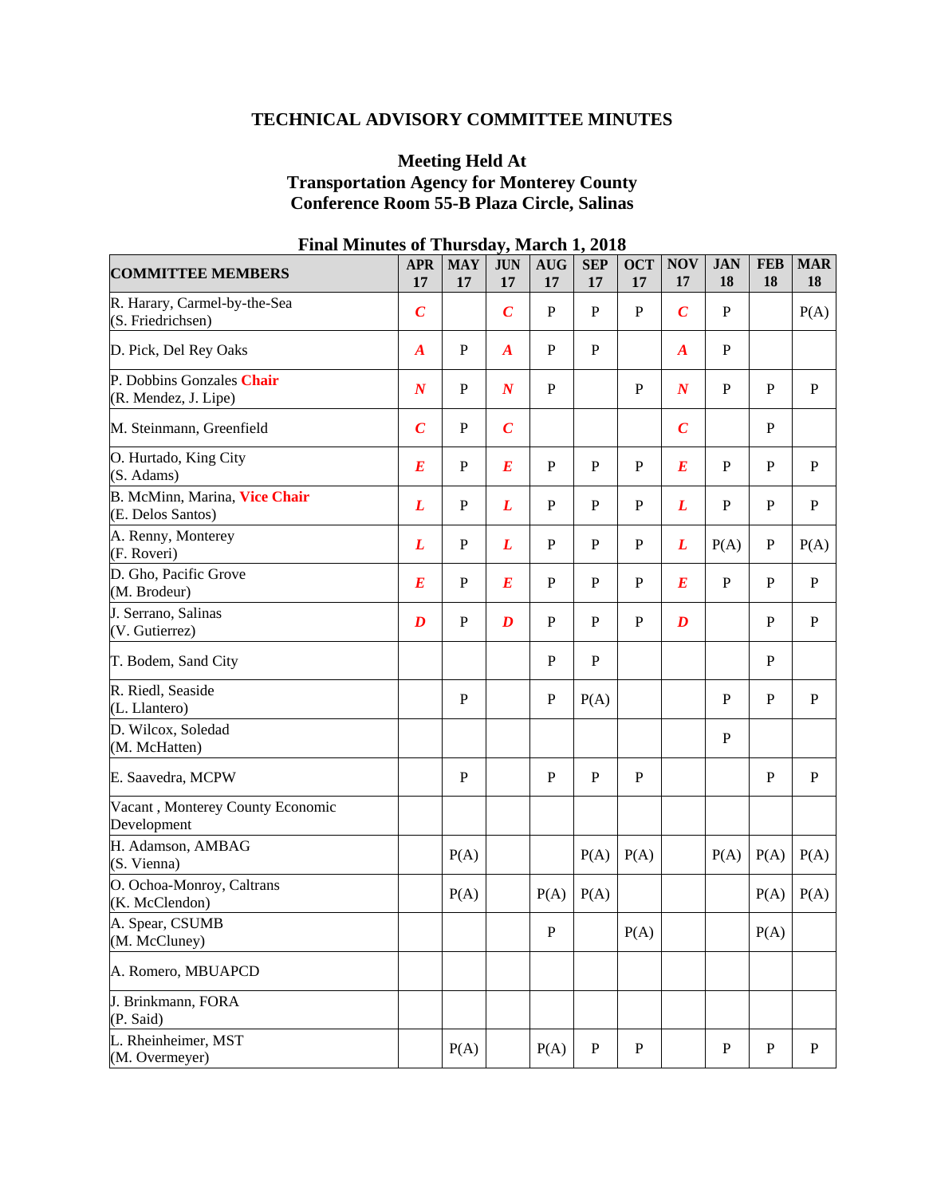# **TECHNICAL ADVISORY COMMITTEE MINUTES**

## **Meeting Held At Transportation Agency for Monterey County Conference Room 55-B Plaza Circle, Salinas**

| <b>COMMITTEE MEMBERS</b>                           | <b>APR</b><br>17 | <b>MAY</b><br>17 | <b>JUN</b><br>17 | <b>AUG</b><br>17 | <b>SEP</b><br>17 | <b>OCT</b><br>17 | <b>NOV</b><br>17 | <b>JAN</b><br>18 | <b>FEB</b><br>18 | <b>MAR</b><br>18 |
|----------------------------------------------------|------------------|------------------|------------------|------------------|------------------|------------------|------------------|------------------|------------------|------------------|
| R. Harary, Carmel-by-the-Sea<br>(S. Friedrichsen)  | $\boldsymbol{C}$ |                  | $\boldsymbol{C}$ | $\mathbf{P}$     | $\mathbf P$      | ${\bf P}$        | $\overline{C}$   | $\mathbf P$      |                  | P(A)             |
| D. Pick, Del Rey Oaks                              | $\boldsymbol{A}$ | $\mathbf{P}$     | $\boldsymbol{A}$ | $\mathbf{P}$     | ${\bf P}$        |                  | $\boldsymbol{A}$ | $\mathbf{P}$     |                  |                  |
| P. Dobbins Gonzales Chair<br>(R. Mendez, J. Lipe)  | $\boldsymbol{N}$ | $\, {\bf P}$     | $\boldsymbol{N}$ | $\mathbf{P}$     |                  | ${\bf P}$        | $\boldsymbol{N}$ | $\mathbf{P}$     | $\mathbf{P}$     | $\mathbf{P}$     |
| M. Steinmann, Greenfield                           | $\boldsymbol{C}$ | $\mathbf{P}$     | $\boldsymbol{C}$ |                  |                  |                  | $\overline{C}$   |                  | $\mathbf P$      |                  |
| O. Hurtado, King City<br>(S. Adams)                | $\boldsymbol{E}$ | ${\bf P}$        | $\boldsymbol{E}$ | ${\bf P}$        | $\mathbf P$      | $\mathbf P$      | $\bm E$          | $\mathbf{P}$     | ${\bf P}$        | $\mathbf{P}$     |
| B. McMinn, Marina, Vice Chair<br>(E. Delos Santos) | L                | ${\bf P}$        | L                | ${\bf P}$        | $\mathbf P$      | $\mathbf P$      | L                | ${\bf P}$        | ${\bf P}$        | $\, {\bf P}$     |
| A. Renny, Monterey<br>(F. Roveri)                  | L                | $\mathbf P$      | L                | ${\bf P}$        | $\mathbf P$      | $\mathbf P$      | L                | P(A)             | ${\bf P}$        | P(A)             |
| D. Gho, Pacific Grove<br>(M. Brodeur)              | $\bm E$          | P                | $\bm E$          | $\mathbf P$      | $\mathbf P$      | $\mathbf P$      | E                | $\mathbf P$      | $\mathbf P$      | $\mathbf{P}$     |
| J. Serrano, Salinas<br>(V. Gutierrez)              | D                | $\mathbf{P}$     | D                | $\mathbf{P}$     | P                | $\mathbf{P}$     | D                |                  | ${\bf P}$        | P                |
| T. Bodem, Sand City                                |                  |                  |                  | $\mathbf{P}$     | ${\bf P}$        |                  |                  |                  | ${\bf P}$        |                  |
| R. Riedl, Seaside<br>(L. Llantero)                 |                  | $\mathbf P$      |                  | $\mathbf P$      | P(A)             |                  |                  | ${\bf P}$        | ${\bf P}$        | $\mathbf{P}$     |
| D. Wilcox, Soledad<br>(M. McHatten)                |                  |                  |                  |                  |                  |                  |                  | ${\bf P}$        |                  |                  |
| E. Saavedra, MCPW                                  |                  | $\mathbf{P}$     |                  | $\mathbf{P}$     | $\mathbf{P}$     | ${\bf P}$        |                  |                  | $\mathbf{P}$     | $\, {\bf P}$     |
| Vacant, Monterey County Economic<br>Development    |                  |                  |                  |                  |                  |                  |                  |                  |                  |                  |
| H. Adamson, AMBAG<br>(S. Vienna)                   |                  | P(A)             |                  |                  | P(A)             | P(A)             |                  | P(A)             | P(A)             | P(A)             |
| O. Ochoa-Monroy, Caltrans<br>(K. McClendon)        |                  | P(A)             |                  | P(A)             | P(A)             |                  |                  |                  | P(A)             | P(A)             |
| A. Spear, CSUMB<br>(M. McCluney)                   |                  |                  |                  | ${\bf P}$        |                  | P(A)             |                  |                  | P(A)             |                  |
| A. Romero, MBUAPCD                                 |                  |                  |                  |                  |                  |                  |                  |                  |                  |                  |
| J. Brinkmann, FORA<br>(P. Said)                    |                  |                  |                  |                  |                  |                  |                  |                  |                  |                  |
| L. Rheinheimer, MST<br>(M. Overmeyer)              |                  | P(A)             |                  | P(A)             | ${\bf P}$        | ${\bf P}$        |                  | $\mathbf P$      | ${\bf P}$        | P                |

# **Final Minutes of Thursday, March 1, 2018**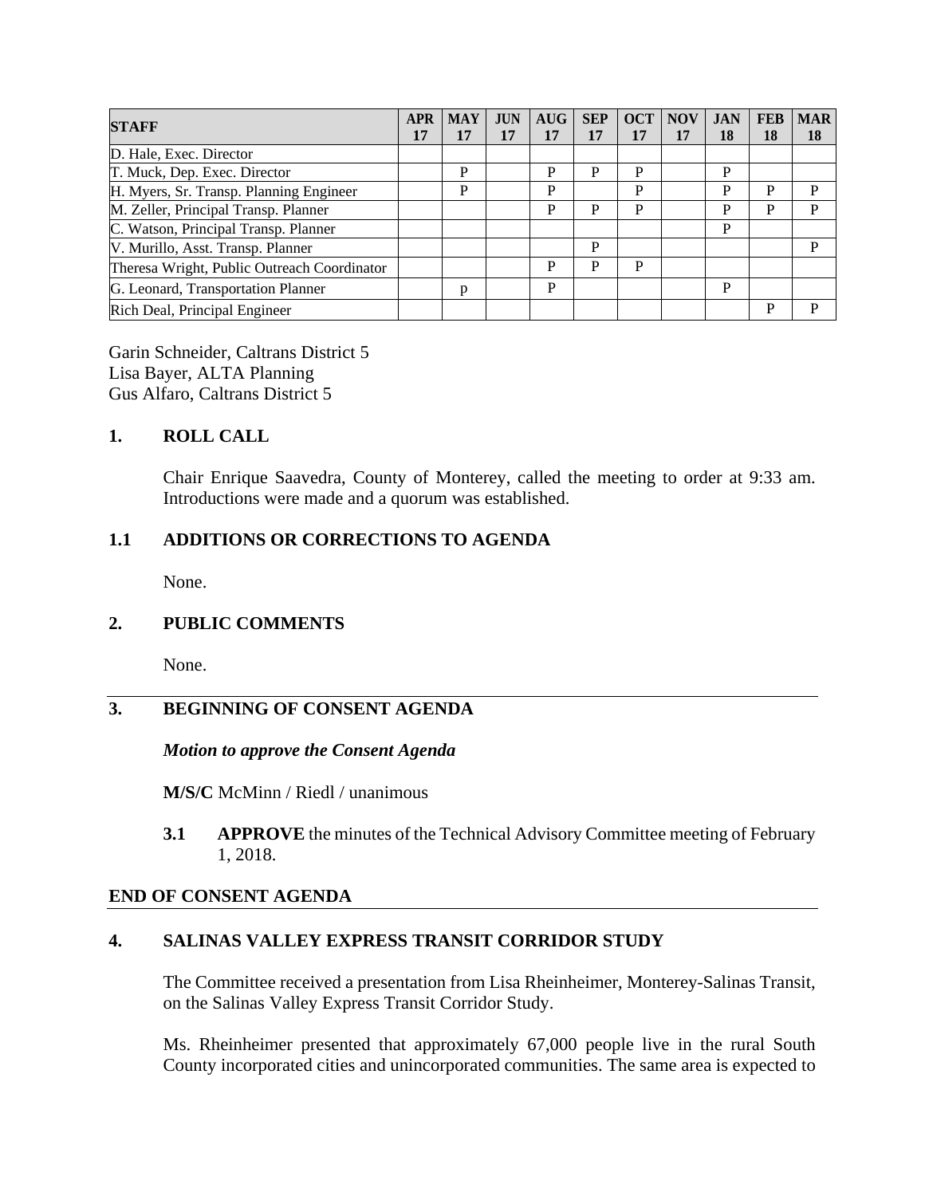| <b>STAFF</b>                                | <b>APR</b> | <b>MAY</b> | <b>JUN</b> | AUG | <b>SEP</b> |    | <b>OCT</b> NOV | <b>JAN</b> | <b>FEB</b> | <b>MAR</b> |
|---------------------------------------------|------------|------------|------------|-----|------------|----|----------------|------------|------------|------------|
|                                             | 17         | 17         | 17         | 17  | 17         | 17 |                | 18         | 18         | 18         |
| D. Hale, Exec. Director                     |            |            |            |     |            |    |                |            |            |            |
| T. Muck, Dep. Exec. Director                |            | P          |            | P   | P          | P  |                | P          |            |            |
| H. Myers, Sr. Transp. Planning Engineer     |            | P          |            | P   |            | P  |                | D          | P          | D          |
| M. Zeller, Principal Transp. Planner        |            |            |            | P   | P          | P  |                | P          | P          | P          |
| C. Watson, Principal Transp. Planner        |            |            |            |     |            |    |                | P          |            |            |
| V. Murillo, Asst. Transp. Planner           |            |            |            |     | P          |    |                |            |            | P          |
| Theresa Wright, Public Outreach Coordinator |            |            |            | P   | P          | P  |                |            |            |            |
| G. Leonard, Transportation Planner          |            | p          |            | P   |            |    |                | P          |            |            |
| Rich Deal, Principal Engineer               |            |            |            |     |            |    |                |            | P          | D          |

Garin Schneider, Caltrans District 5 Lisa Bayer, ALTA Planning Gus Alfaro, Caltrans District 5

## **1. ROLL CALL**

Chair Enrique Saavedra, County of Monterey, called the meeting to order at 9:33 am. Introductions were made and a quorum was established.

## **1.1 ADDITIONS OR CORRECTIONS TO AGENDA**

None.

### **2. PUBLIC COMMENTS**

None.

# **3. BEGINNING OF CONSENT AGENDA**

#### *Motion to approve the Consent Agenda*

**M/S/C** McMinn / Riedl / unanimous

**3.1 APPROVE** the minutes of the Technical Advisory Committee meeting of February 1, 2018.

#### **END OF CONSENT AGENDA**

### **4. SALINAS VALLEY EXPRESS TRANSIT CORRIDOR STUDY**

The Committee received a presentation from Lisa Rheinheimer, Monterey-Salinas Transit, on the Salinas Valley Express Transit Corridor Study.

Ms. Rheinheimer presented that approximately 67,000 people live in the rural South County incorporated cities and unincorporated communities. The same area is expected to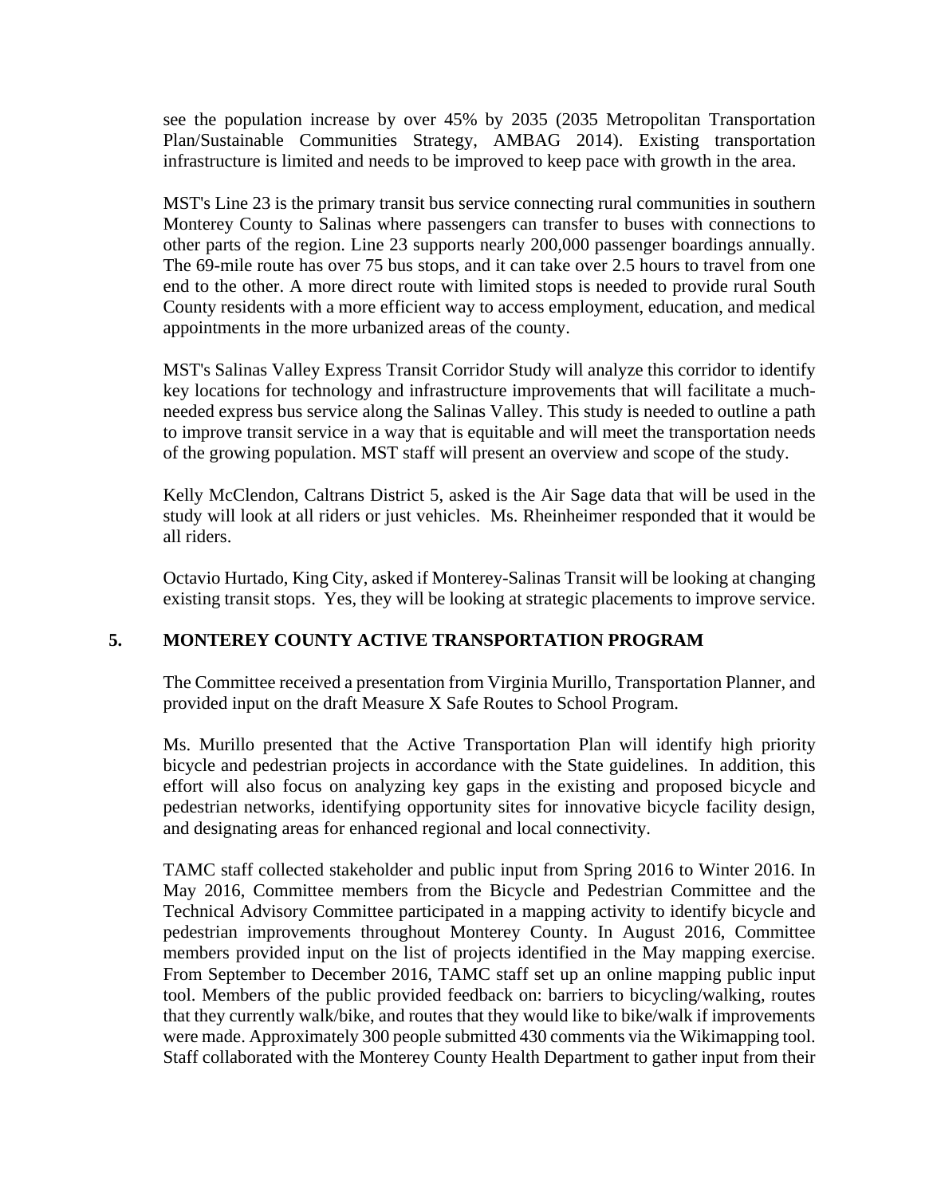see the population increase by over 45% by 2035 (2035 Metropolitan Transportation Plan/Sustainable Communities Strategy, AMBAG 2014). Existing transportation infrastructure is limited and needs to be improved to keep pace with growth in the area.

MST's Line 23 is the primary transit bus service connecting rural communities in southern Monterey County to Salinas where passengers can transfer to buses with connections to other parts of the region. Line 23 supports nearly 200,000 passenger boardings annually. The 69-mile route has over 75 bus stops, and it can take over 2.5 hours to travel from one end to the other. A more direct route with limited stops is needed to provide rural South County residents with a more efficient way to access employment, education, and medical appointments in the more urbanized areas of the county.

MST's Salinas Valley Express Transit Corridor Study will analyze this corridor to identify key locations for technology and infrastructure improvements that will facilitate a muchneeded express bus service along the Salinas Valley. This study is needed to outline a path to improve transit service in a way that is equitable and will meet the transportation needs of the growing population. MST staff will present an overview and scope of the study.

Kelly McClendon, Caltrans District 5, asked is the Air Sage data that will be used in the study will look at all riders or just vehicles. Ms. Rheinheimer responded that it would be all riders.

Octavio Hurtado, King City, asked if Monterey-Salinas Transit will be looking at changing existing transit stops. Yes, they will be looking at strategic placements to improve service.

# **5. MONTEREY COUNTY ACTIVE TRANSPORTATION PROGRAM**

The Committee received a presentation from Virginia Murillo, Transportation Planner, and provided input on the draft Measure X Safe Routes to School Program.

Ms. Murillo presented that the Active Transportation Plan will identify high priority bicycle and pedestrian projects in accordance with the State guidelines. In addition, this effort will also focus on analyzing key gaps in the existing and proposed bicycle and pedestrian networks, identifying opportunity sites for innovative bicycle facility design, and designating areas for enhanced regional and local connectivity.

TAMC staff collected stakeholder and public input from Spring 2016 to Winter 2016. In May 2016, Committee members from the Bicycle and Pedestrian Committee and the Technical Advisory Committee participated in a mapping activity to identify bicycle and pedestrian improvements throughout Monterey County. In August 2016, Committee members provided input on the list of projects identified in the May mapping exercise. From September to December 2016, TAMC staff set up an online mapping public input tool. Members of the public provided feedback on: barriers to bicycling/walking, routes that they currently walk/bike, and routes that they would like to bike/walk if improvements were made. Approximately 300 people submitted 430 comments via the Wikimapping tool. Staff collaborated with the Monterey County Health Department to gather input from their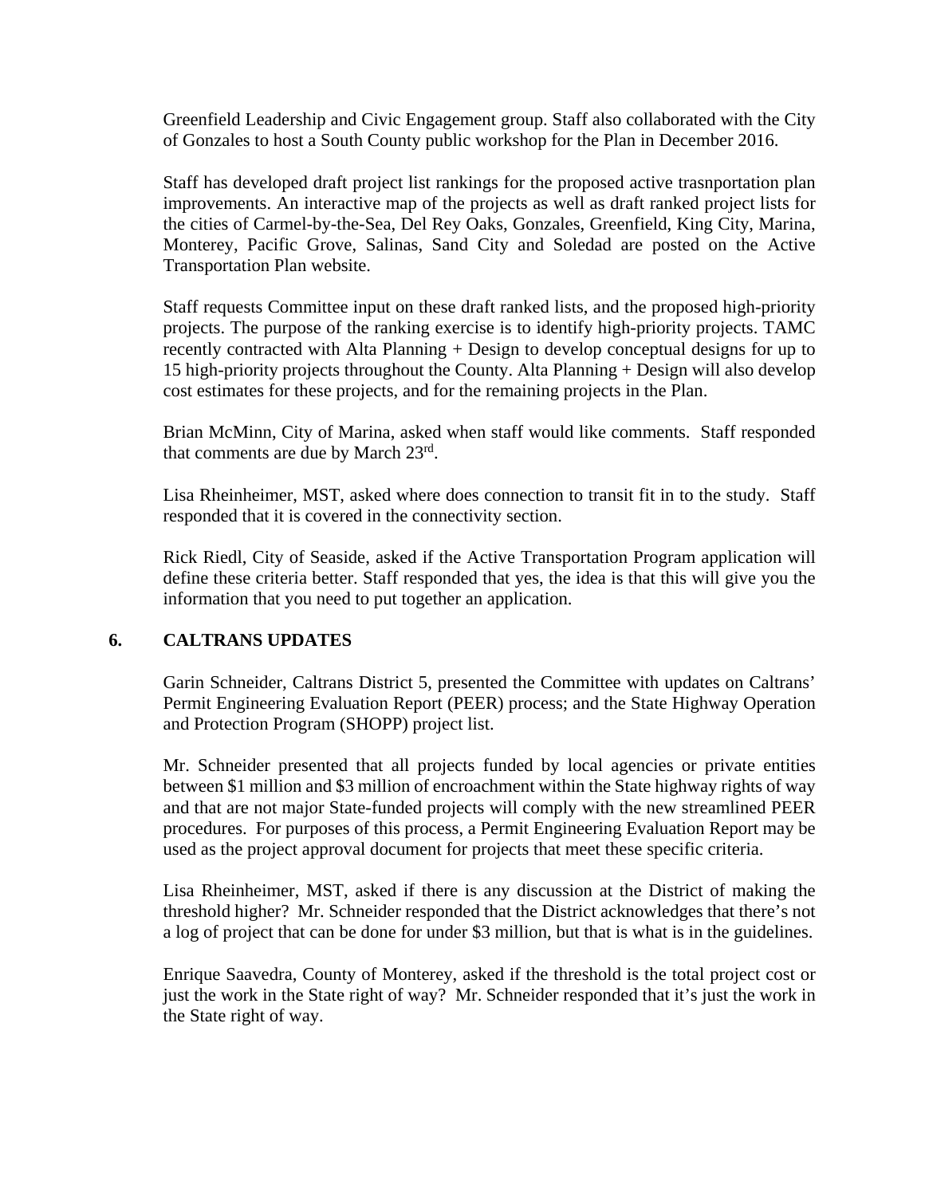Greenfield Leadership and Civic Engagement group. Staff also collaborated with the City of Gonzales to host a South County public workshop for the Plan in December 2016.

Staff has developed draft project list rankings for the proposed active trasnportation plan improvements. An interactive map of the projects as well as draft ranked project lists for the cities of Carmel-by-the-Sea, Del Rey Oaks, Gonzales, Greenfield, King City, Marina, Monterey, Pacific Grove, Salinas, Sand City and Soledad are posted on the Active Transportation Plan website.

Staff requests Committee input on these draft ranked lists, and the proposed high-priority projects. The purpose of the ranking exercise is to identify high-priority projects. TAMC recently contracted with Alta Planning + Design to develop conceptual designs for up to 15 high-priority projects throughout the County. Alta Planning + Design will also develop cost estimates for these projects, and for the remaining projects in the Plan.

Brian McMinn, City of Marina, asked when staff would like comments. Staff responded that comments are due by March 23rd.

Lisa Rheinheimer, MST, asked where does connection to transit fit in to the study. Staff responded that it is covered in the connectivity section.

Rick Riedl, City of Seaside, asked if the Active Transportation Program application will define these criteria better. Staff responded that yes, the idea is that this will give you the information that you need to put together an application.

### **6. CALTRANS UPDATES**

Garin Schneider, Caltrans District 5, presented the Committee with updates on Caltrans' Permit Engineering Evaluation Report (PEER) process; and the State Highway Operation and Protection Program (SHOPP) project list.

Mr. Schneider presented that all projects funded by local agencies or private entities between \$1 million and \$3 million of encroachment within the State highway rights of way and that are not major State-funded projects will comply with the new streamlined PEER procedures. For purposes of this process, a Permit Engineering Evaluation Report may be used as the project approval document for projects that meet these specific criteria.

Lisa Rheinheimer, MST, asked if there is any discussion at the District of making the threshold higher? Mr. Schneider responded that the District acknowledges that there's not a log of project that can be done for under \$3 million, but that is what is in the guidelines.

Enrique Saavedra, County of Monterey, asked if the threshold is the total project cost or just the work in the State right of way? Mr. Schneider responded that it's just the work in the State right of way.